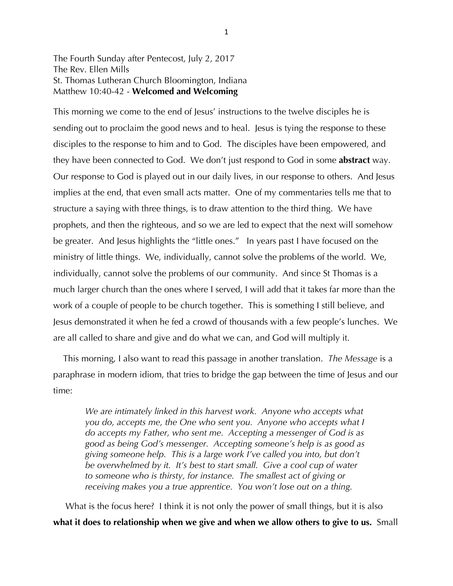## The Fourth Sunday after Pentecost, July 2, 2017 The Rev. Ellen Mills St. Thomas Lutheran Church Bloomington, Indiana Matthew 10:40-42 - **Welcomed and Welcoming**

This morning we come to the end of Jesus' instructions to the twelve disciples he is sending out to proclaim the good news and to heal. Jesus is tying the response to these disciples to the response to him and to God. The disciples have been empowered, and they have been connected to God. We don't just respond to God in some **abstract** way. Our response to God is played out in our daily lives, in our response to others. And Jesus implies at the end, that even small acts matter. One of my commentaries tells me that to structure a saying with three things, is to draw attention to the third thing. We have prophets, and then the righteous, and so we are led to expect that the next will somehow be greater. And Jesus highlights the "little ones." In years past I have focused on the ministry of little things. We, individually, cannot solve the problems of the world. We, individually, cannot solve the problems of our community. And since St Thomas is a much larger church than the ones where I served, I will add that it takes far more than the work of a couple of people to be church together. This is something I still believe, and Jesus demonstrated it when he fed a crowd of thousands with a few people's lunches. We are all called to share and give and do what we can, and God will multiply it.

 This morning, I also want to read this passage in another translation. *The Message* is a paraphrase in modern idiom, that tries to bridge the gap between the time of Jesus and our time:

*We are intimately linked in this harvest work. Anyone who accepts what you do, accepts me, the One who sent you. Anyone who accepts what I do accepts my Father, who sent me. Accepting a messenger of God is as good as being God's messenger. Accepting someone's help is as good as giving someone help. This is a large work I've called you into, but don't be overwhelmed by it. It's best to start small. Give a cool cup of water to someone who is thirsty, for instance. The smallest act of giving or receiving makes you a true apprentice. You won't lose out on a thing.*

What is the focus here? I think it is not only the power of small things, but it is also **what it does to relationship when we give and when we allow others to give to us.** Small

1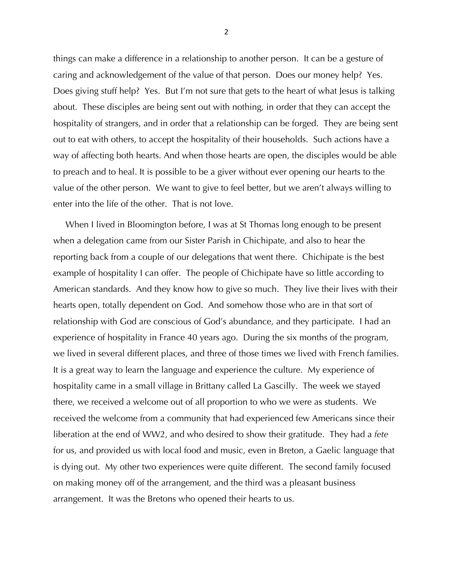things can make a difference in a relationship to another person. It can be a gesture of caring and acknowledgement of the value of that person. Does our money help? Yes. Does giving stuff help? Yes. But I'm not sure that gets to the heart of what Jesus is talking about. These disciples are being sent out with nothing, in order that they can accept the hospitality of strangers, and in order that a relationship can be forged. They are being sent out to eat with others, to accept the hospitality of their households. Such actions have a way of affecting both hearts. And when those hearts are open, the disciples would be able to preach and to heal. It is possible to be a giver without ever opening our hearts to the value of the other person. We want to give to feel better, but we aren't always willing to enter into the life of the other. That is not love.

 When I lived in Bloomington before, I was at St Thomas long enough to be present when a delegation came from our Sister Parish in Chichipate, and also to hear the reporting back from a couple of our delegations that went there. Chichipate is the best example of hospitality I can offer. The people of Chichipate have so little according to American standards. And they know how to give so much. They live their lives with their hearts open, totally dependent on God. And somehow those who are in that sort of relationship with God are conscious of God's abundance, and they participate. I had an experience of hospitality in France 40 years ago. During the six months of the program, we lived in several different places, and three of those times we lived with French families. It is a great way to learn the language and experience the culture. My experience of hospitality came in a small village in Brittany called La Gascilly. The week we stayed there, we received a welcome out of all proportion to who we were as students. We received the welcome from a community that had experienced few Americans since their liberation at the end of WW2, and who desired to show their gratitude. They had a *fete* for us, and provided us with local food and music, even in Breton, a Gaelic language that is dying out. My other two experiences were quite different. The second family focused on making money off of the arrangement, and the third was a pleasant business arrangement. It was the Bretons who opened their hearts to us.

2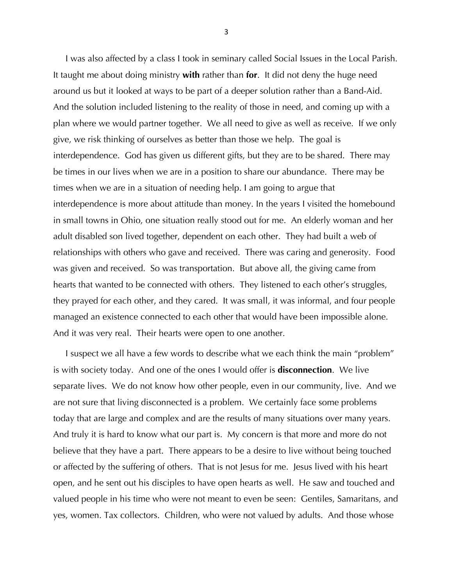I was also affected by a class I took in seminary called Social Issues in the Local Parish. It taught me about doing ministry **with** rather than **for**. It did not deny the huge need around us but it looked at ways to be part of a deeper solution rather than a Band-Aid. And the solution included listening to the reality of those in need, and coming up with a plan where we would partner together. We all need to give as well as receive. If we only give, we risk thinking of ourselves as better than those we help. The goal is interdependence. God has given us different gifts, but they are to be shared. There may be times in our lives when we are in a position to share our abundance. There may be times when we are in a situation of needing help. I am going to argue that interdependence is more about attitude than money. In the years I visited the homebound in small towns in Ohio, one situation really stood out for me. An elderly woman and her adult disabled son lived together, dependent on each other. They had built a web of relationships with others who gave and received. There was caring and generosity. Food was given and received. So was transportation. But above all, the giving came from hearts that wanted to be connected with others. They listened to each other's struggles, they prayed for each other, and they cared. It was small, it was informal, and four people managed an existence connected to each other that would have been impossible alone. And it was very real. Their hearts were open to one another.

 I suspect we all have a few words to describe what we each think the main "problem" is with society today. And one of the ones I would offer is **disconnection**. We live separate lives. We do not know how other people, even in our community, live. And we are not sure that living disconnected is a problem. We certainly face some problems today that are large and complex and are the results of many situations over many years. And truly it is hard to know what our part is. My concern is that more and more do not believe that they have a part. There appears to be a desire to live without being touched or affected by the suffering of others. That is not Jesus for me. Jesus lived with his heart open, and he sent out his disciples to have open hearts as well. He saw and touched and valued people in his time who were not meant to even be seen: Gentiles, Samaritans, and yes, women. Tax collectors. Children, who were not valued by adults. And those whose

3